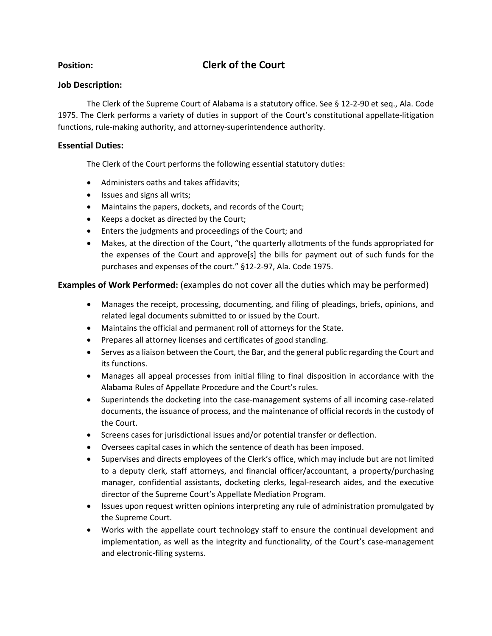# **Position: Clerk of the Court**

# **Job Description:**

The Clerk of the Supreme Court of Alabama is a statutory office. See § 12-2-90 et seq., Ala. Code 1975. The Clerk performs a variety of duties in support of the Court's constitutional appellate-litigation functions, rule-making authority, and attorney-superintendence authority.

## **Essential Duties:**

The Clerk of the Court performs the following essential statutory duties:

- Administers oaths and takes affidavits;
- Issues and signs all writs;
- Maintains the papers, dockets, and records of the Court;
- Keeps a docket as directed by the Court;
- Enters the judgments and proceedings of the Court; and
- Makes, at the direction of the Court, "the quarterly allotments of the funds appropriated for the expenses of the Court and approve[s] the bills for payment out of such funds for the purchases and expenses of the court." §12-2-97, Ala. Code 1975.

**Examples of Work Performed:** (examples do not cover all the duties which may be performed)

- Manages the receipt, processing, documenting, and filing of pleadings, briefs, opinions, and related legal documents submitted to or issued by the Court.
- Maintains the official and permanent roll of attorneys for the State.
- Prepares all attorney licenses and certificates of good standing.
- Serves as a liaison between the Court, the Bar, and the general public regarding the Court and its functions.
- Manages all appeal processes from initial filing to final disposition in accordance with the Alabama Rules of Appellate Procedure and the Court's rules.
- Superintends the docketing into the case-management systems of all incoming case-related documents, the issuance of process, and the maintenance of official records in the custody of the Court.
- Screens cases for jurisdictional issues and/or potential transfer or deflection.
- Oversees capital cases in which the sentence of death has been imposed.
- Supervises and directs employees of the Clerk's office, which may include but are not limited to a deputy clerk, staff attorneys, and financial officer/accountant, a property/purchasing manager, confidential assistants, docketing clerks, legal-research aides, and the executive director of the Supreme Court's Appellate Mediation Program.
- Issues upon request written opinions interpreting any rule of administration promulgated by the Supreme Court.
- Works with the appellate court technology staff to ensure the continual development and implementation, as well as the integrity and functionality, of the Court's case-management and electronic-filing systems.